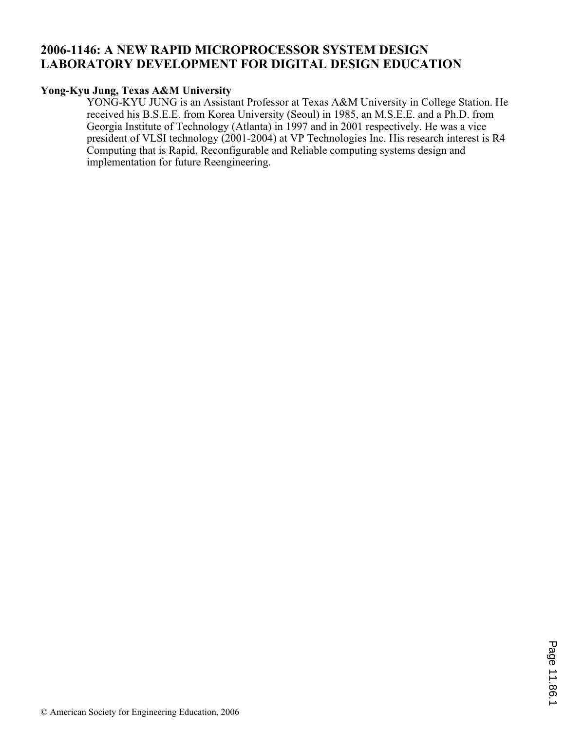## **2006-1146: A NEW RAPID MICROPROCESSOR SYSTEM DESIGN LABORATORY DEVELOPMENT FOR DIGITAL DESIGN EDUCATION**

#### **Yong-Kyu Jung, Texas A&M University**

YONG-KYU JUNG is an Assistant Professor at Texas A&M University in College Station. He received his B.S.E.E. from Korea University (Seoul) in 1985, an M.S.E.E. and a Ph.D. from Georgia Institute of Technology (Atlanta) in 1997 and in 2001 respectively. He was a vice president of VLSI technology (2001-2004) at VP Technologies Inc. His research interest is R4 Computing that is Rapid, Reconfigurable and Reliable computing systems design and implementation for future Reengineering.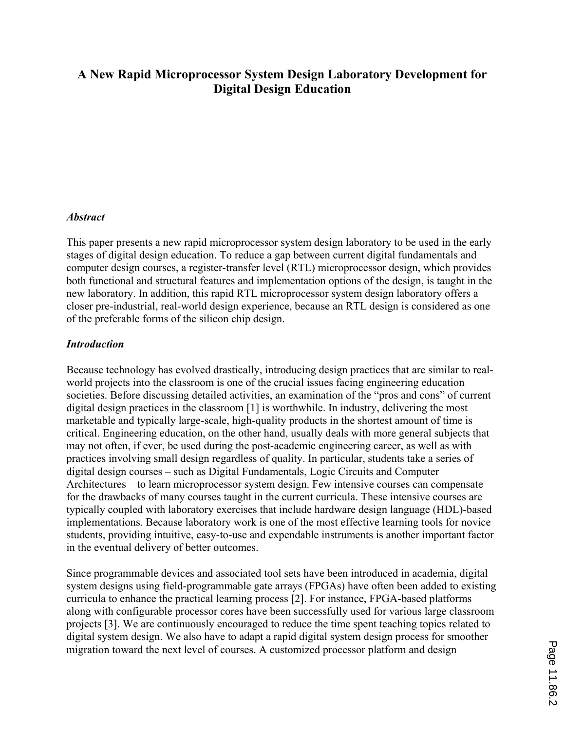# **A New Rapid Microprocessor System Design Laboratory Development for Digital Design Education**

#### *Abstract*

This paper presents a new rapid microprocessor system design laboratory to be used in the early stages of digital design education. To reduce a gap between current digital fundamentals and computer design courses, a register-transfer level (RTL) microprocessor design, which provides both functional and structural features and implementation options of the design, is taught in the new laboratory. In addition, this rapid RTL microprocessor system design laboratory offers a closer pre-industrial, real-world design experience, because an RTL design is considered as one of the preferable forms of the silicon chip design.

#### *Introduction*

Because technology has evolved drastically, introducing design practices that are similar to realworld projects into the classroom is one of the crucial issues facing engineering education societies. Before discussing detailed activities, an examination of the "pros and cons" of current digital design practices in the classroom [1] is worthwhile. In industry, delivering the most marketable and typically large-scale, high-quality products in the shortest amount of time is critical. Engineering education, on the other hand, usually deals with more general subjects that may not often, if ever, be used during the post-academic engineering career, as well as with practices involving small design regardless of quality. In particular, students take a series of digital design courses – such as Digital Fundamentals, Logic Circuits and Computer Architectures – to learn microprocessor system design. Few intensive courses can compensate for the drawbacks of many courses taught in the current curricula. These intensive courses are typically coupled with laboratory exercises that include hardware design language (HDL)-based implementations. Because laboratory work is one of the most effective learning tools for novice students, providing intuitive, easy-to-use and expendable instruments is another important factor in the eventual delivery of better outcomes.

Since programmable devices and associated tool sets have been introduced in academia, digital system designs using field-programmable gate arrays (FPGAs) have often been added to existing curricula to enhance the practical learning process [2]. For instance, FPGA-based platforms along with configurable processor cores have been successfully used for various large classroom projects [3]. We are continuously encouraged to reduce the time spent teaching topics related to digital system design. We also have to adapt a rapid digital system design process for smoother migration toward the next level of courses. A customized processor platform and design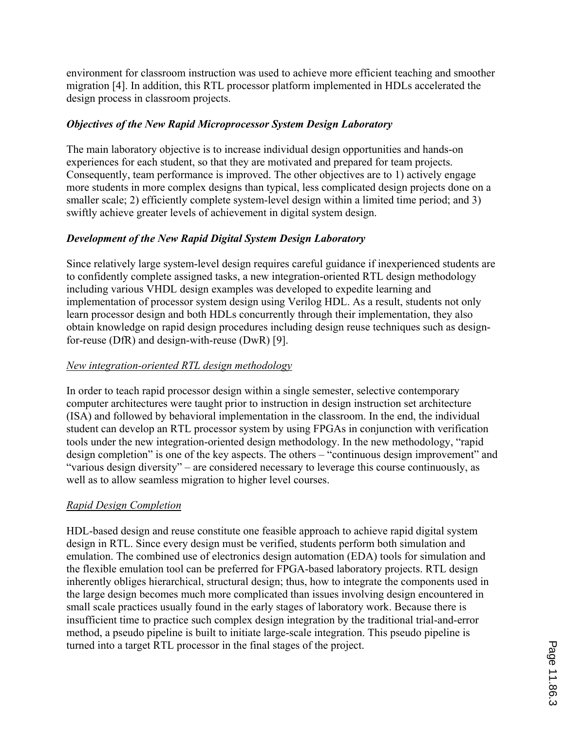environment for classroom instruction was used to achieve more efficient teaching and smoother migration [4]. In addition, this RTL processor platform implemented in HDLs accelerated the design process in classroom projects.

#### *Objectives of the New Rapid Microprocessor System Design Laboratory*

The main laboratory objective is to increase individual design opportunities and hands-on experiences for each student, so that they are motivated and prepared for team projects. Consequently, team performance is improved. The other objectives are to 1) actively engage more students in more complex designs than typical, less complicated design projects done on a smaller scale; 2) efficiently complete system-level design within a limited time period; and 3) swiftly achieve greater levels of achievement in digital system design.

### *Development of the New Rapid Digital System Design Laboratory*

Since relatively large system-level design requires careful guidance if inexperienced students are to confidently complete assigned tasks, a new integration-oriented RTL design methodology including various VHDL design examples was developed to expedite learning and implementation of processor system design using Verilog HDL. As a result, students not only learn processor design and both HDLs concurrently through their implementation, they also obtain knowledge on rapid design procedures including design reuse techniques such as designfor-reuse (DfR) and design-with-reuse (DwR) [9].

#### *New integration-oriented RTL design methodology*

In order to teach rapid processor design within a single semester, selective contemporary computer architectures were taught prior to instruction in design instruction set architecture (ISA) and followed by behavioral implementation in the classroom. In the end, the individual student can develop an RTL processor system by using FPGAs in conjunction with verification tools under the new integration-oriented design methodology. In the new methodology, "rapid design completion" is one of the key aspects. The others – "continuous design improvement" and "various design diversity" – are considered necessary to leverage this course continuously, as well as to allow seamless migration to higher level courses.

#### *Rapid Design Completion*

HDL-based design and reuse constitute one feasible approach to achieve rapid digital system design in RTL. Since every design must be verified, students perform both simulation and emulation. The combined use of electronics design automation (EDA) tools for simulation and the flexible emulation tool can be preferred for FPGA-based laboratory projects. RTL design inherently obliges hierarchical, structural design; thus, how to integrate the components used in the large design becomes much more complicated than issues involving design encountered in small scale practices usually found in the early stages of laboratory work. Because there is insufficient time to practice such complex design integration by the traditional trial-and-error method, a pseudo pipeline is built to initiate large-scale integration. This pseudo pipeline is turned into a target RTL processor in the final stages of the project.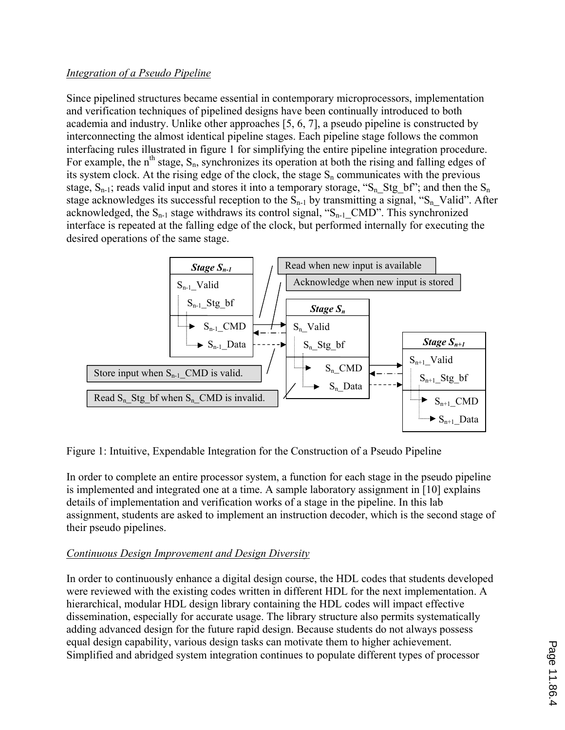#### *Integration of a Pseudo Pipeline*

Since pipelined structures became essential in contemporary microprocessors, implementation and verification techniques of pipelined designs have been continually introduced to both academia and industry. Unlike other approaches [5, 6, 7], a pseudo pipeline is constructed by interconnecting the almost identical pipeline stages. Each pipeline stage follows the common interfacing rules illustrated in figure 1 for simplifying the entire pipeline integration procedure. For example, the  $n<sup>th</sup>$  stage,  $S_n$ , synchronizes its operation at both the rising and falling edges of its system clock. At the rising edge of the clock, the stage  $S_n$  communicates with the previous stage,  $S_{n-1}$ ; reads valid input and stores it into a temporary storage, " $S_n$  Stg\_bf"; and then the  $S_n$ stage acknowledges its successful reception to the  $S_{n-1}$  by transmitting a signal, " $S_n$  Valid". After acknowledged, the  $S_{n-1}$  stage withdraws its control signal, " $S_{n-1}$  CMD". This synchronized interface is repeated at the falling edge of the clock, but performed internally for executing the desired operations of the same stage.



Figure 1: Intuitive, Expendable Integration for the Construction of a Pseudo Pipeline

In order to complete an entire processor system, a function for each stage in the pseudo pipeline is implemented and integrated one at a time. A sample laboratory assignment in [10] explains details of implementation and verification works of a stage in the pipeline. In this lab assignment, students are asked to implement an instruction decoder, which is the second stage of their pseudo pipelines.

### *Continuous Design Improvement and Design Diversity*

In order to continuously enhance a digital design course, the HDL codes that students developed were reviewed with the existing codes written in different HDL for the next implementation. A hierarchical, modular HDL design library containing the HDL codes will impact effective dissemination, especially for accurate usage. The library structure also permits systematically adding advanced design for the future rapid design. Because students do not always possess equal design capability, various design tasks can motivate them to higher achievement. Simplified and abridged system integration continues to populate different types of processor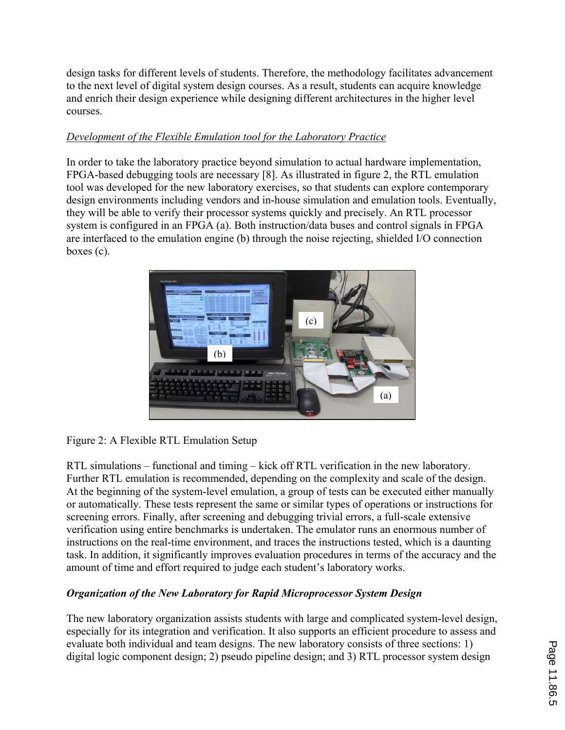design tasks for different levels of students. Therefore, the methodology facilitates advancement to the next level of digital system design courses. As a result, students can acquire knowledge and enrich their design experience while designing different architectures in the higher level courses.

### *Development of the Flexible Emulation tool for the Laboratory Practice*

In order to take the laboratory practice beyond simulation to actual hardware implementation, FPGA-based debugging tools are necessary [8]. As illustrated in figure 2, the RTL emulation tool was developed for the new laboratory exercises, so that students can explore contemporary design environments including vendors and in-house simulation and emulation tools. Eventually, they will be able to verify their processor systems quickly and precisely. An RTL processor system is configured in an FPGA (a). Both instruction/data buses and control signals in FPGA are interfaced to the emulation engine (b) through the noise rejecting, shielded I/O connection boxes (c).



Figure 2: A Flexible RTL Emulation Setup

RTL simulations – functional and timing – kick off RTL verification in the new laboratory. Further RTL emulation is recommended, depending on the complexity and scale of the design. At the beginning of the system-level emulation, a group of tests can be executed either manually or automatically. These tests represent the same or similar types of operations or instructions for screening errors. Finally, after screening and debugging trivial errors, a full-scale extensive verification using entire benchmarks is undertaken. The emulator runs an enormous number of instructions on the real-time environment, and traces the instructions tested, which is a daunting task. In addition, it significantly improves evaluation procedures in terms of the accuracy and the amount of time and effort required to judge each student's laboratory works.

# *Organization of the New Laboratory for Rapid Microprocessor System Design*

The new laboratory organization assists students with large and complicated system-level design, especially for its integration and verification. It also supports an efficient procedure to assess and evaluate both individual and team designs. The new laboratory consists of three sections: 1) digital logic component design; 2) pseudo pipeline design; and 3) RTL processor system design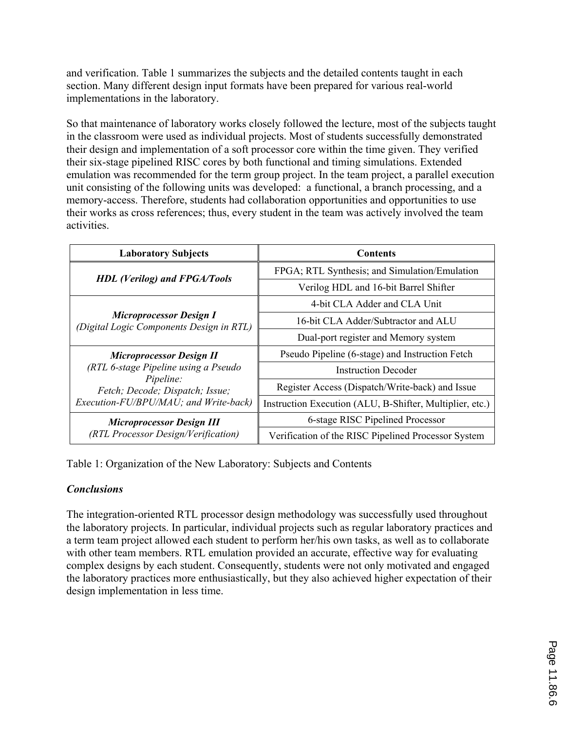and verification. Table 1 summarizes the subjects and the detailed contents taught in each section. Many different design input formats have been prepared for various real-world implementations in the laboratory.

So that maintenance of laboratory works closely followed the lecture, most of the subjects taught in the classroom were used as individual projects. Most of students successfully demonstrated their design and implementation of a soft processor core within the time given. They verified their six-stage pipelined RISC cores by both functional and timing simulations. Extended emulation was recommended for the term group project. In the team project, a parallel execution unit consisting of the following units was developed: a functional, a branch processing, and a memory-access. Therefore, students had collaboration opportunities and opportunities to use their works as cross references; thus, every student in the team was actively involved the team activities.

| <b>Laboratory Subjects</b>                                                                                                                                       | <b>Contents</b>                                          |
|------------------------------------------------------------------------------------------------------------------------------------------------------------------|----------------------------------------------------------|
| <b>HDL</b> (Verilog) and FPGA/Tools                                                                                                                              | FPGA; RTL Synthesis; and Simulation/Emulation            |
|                                                                                                                                                                  | Verilog HDL and 16-bit Barrel Shifter                    |
| <b>Microprocessor Design I</b><br>(Digital Logic Components Design in RTL)                                                                                       | 4-bit CLA Adder and CLA Unit                             |
|                                                                                                                                                                  | 16-bit CLA Adder/Subtractor and ALU                      |
|                                                                                                                                                                  | Dual-port register and Memory system                     |
| <b>Microprocessor Design II</b><br>(RTL 6-stage Pipeline using a Pseudo<br>Pipeline:<br>Fetch; Decode; Dispatch; Issue;<br>Execution-FU/BPU/MAU; and Write-back) | Pseudo Pipeline (6-stage) and Instruction Fetch          |
|                                                                                                                                                                  | Instruction Decoder                                      |
|                                                                                                                                                                  | Register Access (Dispatch/Write-back) and Issue          |
|                                                                                                                                                                  | Instruction Execution (ALU, B-Shifter, Multiplier, etc.) |
| <b>Microprocessor Design III</b><br>(RTL Processor Design/Verification)                                                                                          | 6-stage RISC Pipelined Processor                         |
|                                                                                                                                                                  | Verification of the RISC Pipelined Processor System      |

Table 1: Organization of the New Laboratory: Subjects and Contents

#### *Conclusions*

The integration-oriented RTL processor design methodology was successfully used throughout the laboratory projects. In particular, individual projects such as regular laboratory practices and a term team project allowed each student to perform her/his own tasks, as well as to collaborate with other team members. RTL emulation provided an accurate, effective way for evaluating complex designs by each student. Consequently, students were not only motivated and engaged the laboratory practices more enthusiastically, but they also achieved higher expectation of their design implementation in less time.